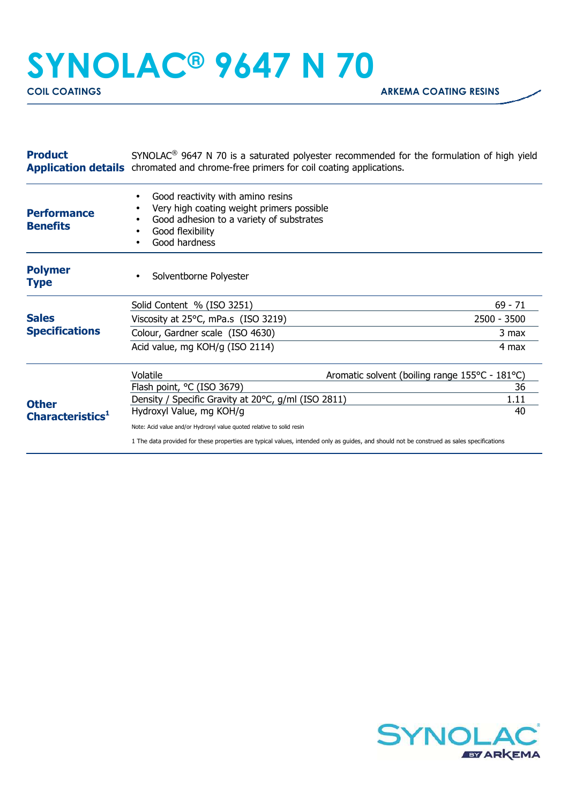## **SYNOLAC® 9647 N 70**

| <b>Product</b>                               | $SYNOLAC®$ 9647 N 70 is a saturated polyester recommended for the formulation of high yield<br><b>Application details</b> chromated and chrome-free primers for coil coating applications. |                                                |
|----------------------------------------------|--------------------------------------------------------------------------------------------------------------------------------------------------------------------------------------------|------------------------------------------------|
| <b>Performance</b><br><b>Benefits</b>        | Good reactivity with amino resins<br>Very high coating weight primers possible<br>Good adhesion to a variety of substrates<br>Good flexibility<br>Good hardness                            |                                                |
| <b>Polymer</b><br><b>Type</b>                | Solventborne Polyester                                                                                                                                                                     |                                                |
|                                              | Solid Content % (ISO 3251)                                                                                                                                                                 | $69 - 71$                                      |
| <b>Sales</b><br><b>Specifications</b>        | Viscosity at 25°C, mPa.s (ISO 3219)                                                                                                                                                        | 2500 - 3500                                    |
|                                              | Colour, Gardner scale (ISO 4630)                                                                                                                                                           | 3 max                                          |
|                                              | Acid value, mg KOH/g (ISO 2114)                                                                                                                                                            | 4 max                                          |
| <b>Other</b><br>Characteristics <sup>1</sup> | Volatile                                                                                                                                                                                   | Aromatic solvent (boiling range 155°C - 181°C) |
|                                              | Flash point, °C (ISO 3679)                                                                                                                                                                 | 36                                             |
|                                              | Density / Specific Gravity at 20°C, g/ml (ISO 2811)                                                                                                                                        | 1.11                                           |
|                                              | Hydroxyl Value, mg KOH/g                                                                                                                                                                   | 40                                             |
|                                              | Note: Acid value and/or Hydroxyl value quoted relative to solid resin                                                                                                                      |                                                |
|                                              | 1 The data provided for these properties are typical values, intended only as guides, and should not be construed as sales specifications                                                  |                                                |